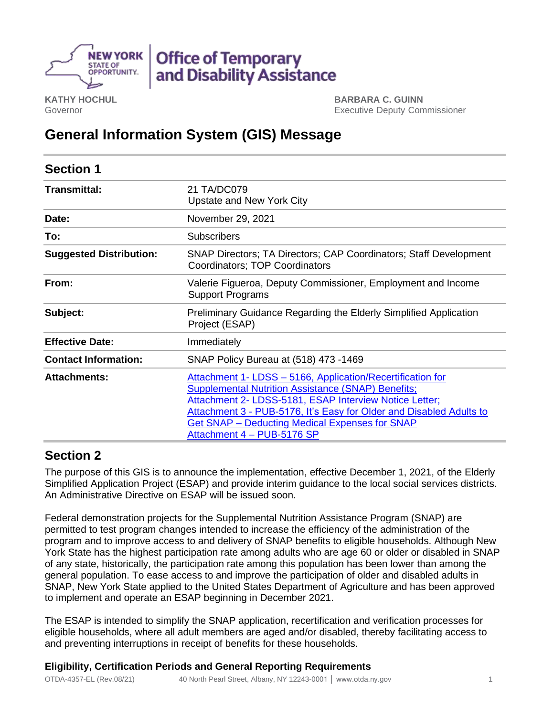

**KATHY HOCHUL** Governor

**BARBARA C. GUINN** Executive Deputy Commissioner

# **General Information System (GIS) Message**

| <b>Section 1</b>               |                                                                                                                                                                                                                                                                                                                                          |
|--------------------------------|------------------------------------------------------------------------------------------------------------------------------------------------------------------------------------------------------------------------------------------------------------------------------------------------------------------------------------------|
| <b>Transmittal:</b>            | 21 TA/DC079<br>Upstate and New York City                                                                                                                                                                                                                                                                                                 |
| Date:                          | November 29, 2021                                                                                                                                                                                                                                                                                                                        |
| To:                            | <b>Subscribers</b>                                                                                                                                                                                                                                                                                                                       |
| <b>Suggested Distribution:</b> | SNAP Directors; TA Directors; CAP Coordinators; Staff Development<br>Coordinators; TOP Coordinators                                                                                                                                                                                                                                      |
| From:                          | Valerie Figueroa, Deputy Commissioner, Employment and Income<br><b>Support Programs</b>                                                                                                                                                                                                                                                  |
| Subject:                       | Preliminary Guidance Regarding the Elderly Simplified Application<br>Project (ESAP)                                                                                                                                                                                                                                                      |
| <b>Effective Date:</b>         | Immediately                                                                                                                                                                                                                                                                                                                              |
| <b>Contact Information:</b>    | SNAP Policy Bureau at (518) 473 -1469                                                                                                                                                                                                                                                                                                    |
| <b>Attachments:</b>            | Attachment 1- LDSS - 5166, Application/Recertification for<br><b>Supplemental Nutrition Assistance (SNAP) Benefits;</b><br>Attachment 2- LDSS-5181, ESAP Interview Notice Letter;<br>Attachment 3 - PUB-5176, It's Easy for Older and Disabled Adults to<br>Get SNAP - Deducting Medical Expenses for SNAP<br>Attachment 4 - PUB-5176 SP |

# **Section 2**

The purpose of this GIS is to announce the implementation, effective December 1, 2021, of the Elderly Simplified Application Project (ESAP) and provide interim guidance to the local social services districts. An Administrative Directive on ESAP will be issued soon.

Federal demonstration projects for the Supplemental Nutrition Assistance Program (SNAP) are permitted to test program changes intended to increase the efficiency of the administration of the program and to improve access to and delivery of SNAP benefits to eligible households. Although New York State has the highest participation rate among adults who are age 60 or older or disabled in SNAP of any state, historically, the participation rate among this population has been lower than among the general population. To ease access to and improve the participation of older and disabled adults in SNAP, New York State applied to the United States Department of Agriculture and has been approved to implement and operate an ESAP beginning in December 2021.

The ESAP is intended to simplify the SNAP application, recertification and verification processes for eligible households, where all adult members are aged and/or disabled, thereby facilitating access to and preventing interruptions in receipt of benefits for these households.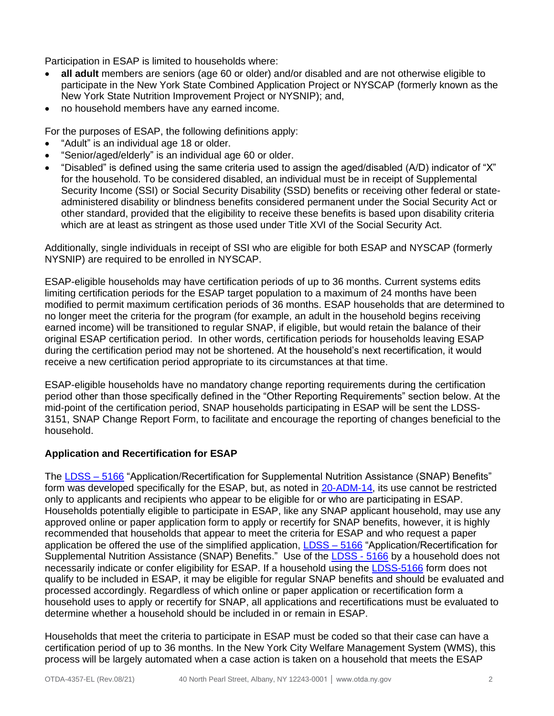Participation in ESAP is limited to households where:

- **all adult** members are seniors (age 60 or older) and/or disabled and are not otherwise eligible to participate in the New York State Combined Application Project or NYSCAP (formerly known as the New York State Nutrition Improvement Project or NYSNIP); and,
- no household members have any earned income.

For the purposes of ESAP, the following definitions apply:

- "Adult" is an individual age 18 or older.
- "Senior/aged/elderly" is an individual age 60 or older.
- "Disabled" is defined using the same criteria used to assign the aged/disabled (A/D) indicator of "X" for the household. To be considered disabled, an individual must be in receipt of Supplemental Security Income (SSI) or Social Security Disability (SSD) benefits or receiving other federal or stateadministered disability or blindness benefits considered permanent under the Social Security Act or other standard, provided that the eligibility to receive these benefits is based upon disability criteria which are at least as stringent as those used under Title XVI of the Social Security Act.

Additionally, single individuals in receipt of SSI who are eligible for both ESAP and NYSCAP (formerly NYSNIP) are required to be enrolled in NYSCAP.

ESAP-eligible households may have certification periods of up to 36 months. Current systems edits limiting certification periods for the ESAP target population to a maximum of 24 months have been modified to permit maximum certification periods of 36 months. ESAP households that are determined to no longer meet the criteria for the program (for example, an adult in the household begins receiving earned income) will be transitioned to regular SNAP, if eligible, but would retain the balance of their original ESAP certification period. In other words, certification periods for households leaving ESAP during the certification period may not be shortened. At the household's next recertification, it would receive a new certification period appropriate to its circumstances at that time.

ESAP-eligible households have no mandatory change reporting requirements during the certification period other than those specifically defined in the "Other Reporting Requirements" section below. At the mid-point of the certification period, SNAP households participating in ESAP will be sent the LDSS-3151, SNAP Change Report Form, to facilitate and encourage the reporting of changes beneficial to the household.

#### **Application and Recertification for ESAP**

The [LDSS –](https://otda.ny.gov/programs/applications/5166.pdf) 5166 "Application/Recertification for Supplemental Nutrition Assistance (SNAP) Benefits" form was developed specifically for the ESAP, but, as noted in [20-ADM-14,](https://otda.ny.gov/policy/directives/2020/ADM/20-ADM-14.pdf) its use cannot be restricted only to applicants and recipients who appear to be eligible for or who are participating in ESAP. Households potentially eligible to participate in ESAP, like any SNAP applicant household, may use any approved online or paper application form to apply or recertify for SNAP benefits, however, it is highly recommended that households that appear to meet the criteria for ESAP and who request a paper application be offered the use of the simplified application, LDSS - 5166 "Application/Recertification for Supplemental Nutrition Assistance (SNAP) Benefits." Use of the **LDSS - 5166** by a household does not necessarily indicate or confer eligibility for ESAP. If a household using the [LDSS-5166](https://otda.ny.gov/programs/applications/5166.pdf) form does not qualify to be included in ESAP, it may be eligible for regular SNAP benefits and should be evaluated and processed accordingly. Regardless of which online or paper application or recertification form a household uses to apply or recertify for SNAP, all applications and recertifications must be evaluated to determine whether a household should be included in or remain in ESAP.

Households that meet the criteria to participate in ESAP must be coded so that their case can have a certification period of up to 36 months. In the New York City Welfare Management System (WMS), this process will be largely automated when a case action is taken on a household that meets the ESAP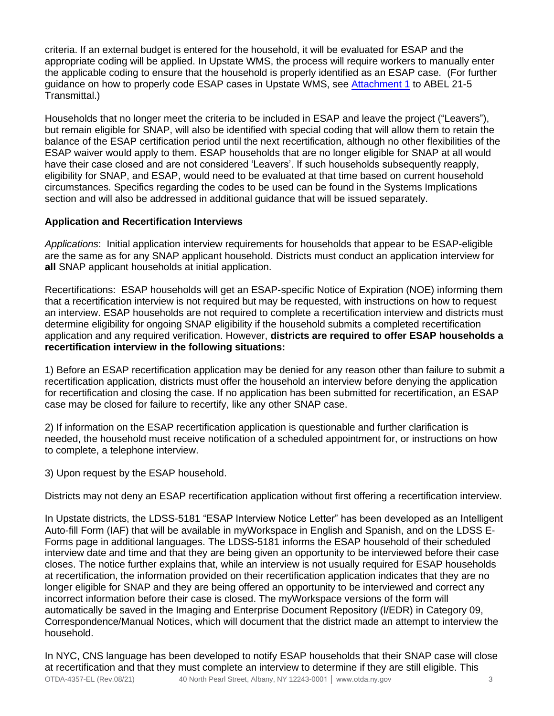criteria. If an external budget is entered for the household, it will be evaluated for ESAP and the appropriate coding will be applied. In Upstate WMS, the process will require workers to manually enter the applicable coding to ensure that the household is properly identified as an ESAP case. (For further guidance on how to properly code ESAP cases in Upstate WMS, see **Attachment 1** to ABEL 21-5 Transmittal.)

Households that no longer meet the criteria to be included in ESAP and leave the project ("Leavers"), but remain eligible for SNAP, will also be identified with special coding that will allow them to retain the balance of the ESAP certification period until the next recertification, although no other flexibilities of the ESAP waiver would apply to them. ESAP households that are no longer eligible for SNAP at all would have their case closed and are not considered 'Leavers'. If such households subsequently reapply, eligibility for SNAP, and ESAP, would need to be evaluated at that time based on current household circumstances. Specifics regarding the codes to be used can be found in the Systems Implications section and will also be addressed in additional guidance that will be issued separately.

## **Application and Recertification Interviews**

*Applications*: Initial application interview requirements for households that appear to be ESAP-eligible are the same as for any SNAP applicant household. Districts must conduct an application interview for **all** SNAP applicant households at initial application.

Recertifications: ESAP households will get an ESAP-specific Notice of Expiration (NOE) informing them that a recertification interview is not required but may be requested, with instructions on how to request an interview. ESAP households are not required to complete a recertification interview and districts must determine eligibility for ongoing SNAP eligibility if the household submits a completed recertification application and any required verification. However, **districts are required to offer ESAP households a recertification interview in the following situations:**

1) Before an ESAP recertification application may be denied for any reason other than failure to submit a recertification application, districts must offer the household an interview before denying the application for recertification and closing the case. If no application has been submitted for recertification, an ESAP case may be closed for failure to recertify, like any other SNAP case.

2) If information on the ESAP recertification application is questionable and further clarification is needed, the household must receive notification of a scheduled appointment for, or instructions on how to complete, a telephone interview.

3) Upon request by the ESAP household.

Districts may not deny an ESAP recertification application without first offering a recertification interview.

In Upstate districts, the LDSS-5181 "ESAP Interview Notice Letter" has been developed as an Intelligent Auto-fill Form (IAF) that will be available in myWorkspace in English and Spanish, and on the LDSS E-Forms page in additional languages. The LDSS-5181 informs the ESAP household of their scheduled interview date and time and that they are being given an opportunity to be interviewed before their case closes. The notice further explains that, while an interview is not usually required for ESAP households at recertification, the information provided on their recertification application indicates that they are no longer eligible for SNAP and they are being offered an opportunity to be interviewed and correct any incorrect information before their case is closed. The myWorkspace versions of the form will automatically be saved in the Imaging and Enterprise Document Repository (I/EDR) in Category 09, Correspondence/Manual Notices, which will document that the district made an attempt to interview the household.

In NYC, CNS language has been developed to notify ESAP households that their SNAP case will close at recertification and that they must complete an interview to determine if they are still eligible. This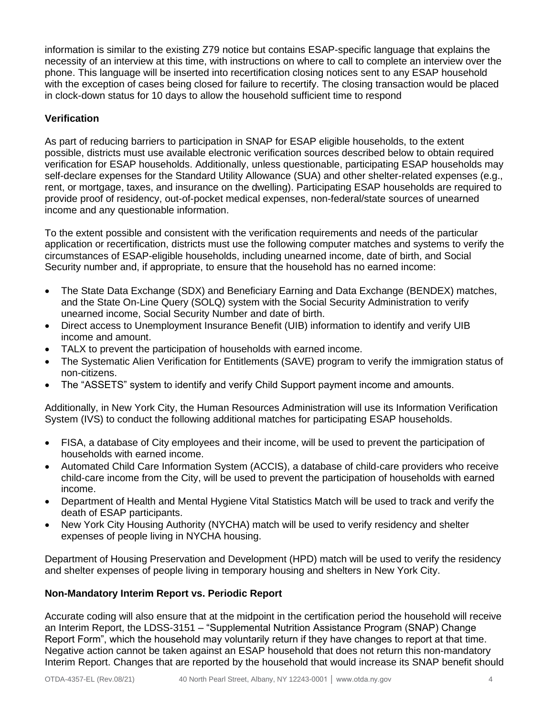information is similar to the existing Z79 notice but contains ESAP-specific language that explains the necessity of an interview at this time, with instructions on where to call to complete an interview over the phone. This language will be inserted into recertification closing notices sent to any ESAP household with the exception of cases being closed for failure to recertify. The closing transaction would be placed in clock-down status for 10 days to allow the household sufficient time to respond

## **Verification**

As part of reducing barriers to participation in SNAP for ESAP eligible households, to the extent possible, districts must use available electronic verification sources described below to obtain required verification for ESAP households. Additionally, unless questionable, participating ESAP households may self-declare expenses for the Standard Utility Allowance (SUA) and other shelter-related expenses (e.g., rent, or mortgage, taxes, and insurance on the dwelling). Participating ESAP households are required to provide proof of residency, out-of-pocket medical expenses, non-federal/state sources of unearned income and any questionable information.

To the extent possible and consistent with the verification requirements and needs of the particular application or recertification, districts must use the following computer matches and systems to verify the circumstances of ESAP-eligible households, including unearned income, date of birth, and Social Security number and, if appropriate, to ensure that the household has no earned income:

- The State Data Exchange (SDX) and Beneficiary Earning and Data Exchange (BENDEX) matches, and the State On-Line Query (SOLQ) system with the Social Security Administration to verify unearned income, Social Security Number and date of birth.
- Direct access to Unemployment Insurance Benefit (UIB) information to identify and verify UIB income and amount.
- TALX to prevent the participation of households with earned income.
- The Systematic Alien Verification for Entitlements (SAVE) program to verify the immigration status of non-citizens.
- The "ASSETS" system to identify and verify Child Support payment income and amounts.

Additionally, in New York City, the Human Resources Administration will use its Information Verification System (IVS) to conduct the following additional matches for participating ESAP households.

- FISA, a database of City employees and their income, will be used to prevent the participation of households with earned income.
- Automated Child Care Information System (ACCIS), a database of child-care providers who receive child-care income from the City, will be used to prevent the participation of households with earned income.
- Department of Health and Mental Hygiene Vital Statistics Match will be used to track and verify the death of ESAP participants.
- New York City Housing Authority (NYCHA) match will be used to verify residency and shelter expenses of people living in NYCHA housing.

Department of Housing Preservation and Development (HPD) match will be used to verify the residency and shelter expenses of people living in temporary housing and shelters in New York City.

#### **Non-Mandatory Interim Report vs. Periodic Report**

Accurate coding will also ensure that at the midpoint in the certification period the household will receive an Interim Report, the LDSS-3151 – "Supplemental Nutrition Assistance Program (SNAP) Change Report Form", which the household may voluntarily return if they have changes to report at that time. Negative action cannot be taken against an ESAP household that does not return this non-mandatory Interim Report. Changes that are reported by the household that would increase its SNAP benefit should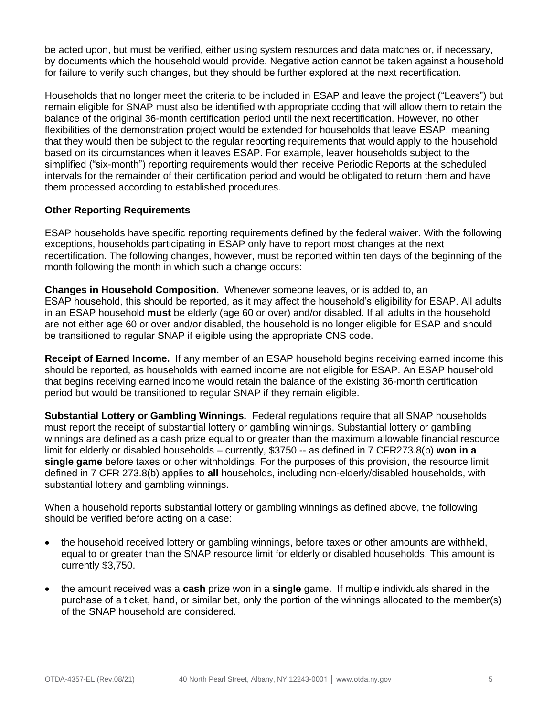be acted upon, but must be verified, either using system resources and data matches or, if necessary, by documents which the household would provide. Negative action cannot be taken against a household for failure to verify such changes, but they should be further explored at the next recertification.

Households that no longer meet the criteria to be included in ESAP and leave the project ("Leavers") but remain eligible for SNAP must also be identified with appropriate coding that will allow them to retain the balance of the original 36-month certification period until the next recertification. However, no other flexibilities of the demonstration project would be extended for households that leave ESAP, meaning that they would then be subject to the regular reporting requirements that would apply to the household based on its circumstances when it leaves ESAP. For example, leaver households subject to the simplified ("six-month") reporting requirements would then receive Periodic Reports at the scheduled intervals for the remainder of their certification period and would be obligated to return them and have them processed according to established procedures.

#### **Other Reporting Requirements**

ESAP households have specific reporting requirements defined by the federal waiver. With the following exceptions, households participating in ESAP only have to report most changes at the next recertification. The following changes, however, must be reported within ten days of the beginning of the month following the month in which such a change occurs:

**Changes in Household Composition.** Whenever someone leaves, or is added to, an ESAP household, this should be reported, as it may affect the household's eligibility for ESAP. All adults in an ESAP household **must** be elderly (age 60 or over) and/or disabled. If all adults in the household are not either age 60 or over and/or disabled, the household is no longer eligible for ESAP and should be transitioned to regular SNAP if eligible using the appropriate CNS code.

**Receipt of Earned Income.** If any member of an ESAP household begins receiving earned income this should be reported, as households with earned income are not eligible for ESAP. An ESAP household that begins receiving earned income would retain the balance of the existing 36-month certification period but would be transitioned to regular SNAP if they remain eligible.

**Substantial Lottery or Gambling Winnings.** Federal regulations require that all SNAP households must report the receipt of substantial lottery or gambling winnings. Substantial lottery or gambling winnings are defined as a cash prize equal to or greater than the maximum allowable financial resource limit for elderly or disabled households – currently, \$3750 -- as defined in 7 CFR273.8(b) **won in a single game** before taxes or other withholdings. For the purposes of this provision, the resource limit defined in 7 CFR 273.8(b) applies to **all** households, including non-elderly/disabled households, with substantial lottery and gambling winnings.

When a household reports substantial lottery or gambling winnings as defined above, the following should be verified before acting on a case:

- the household received lottery or gambling winnings, before taxes or other amounts are withheld, equal to or greater than the SNAP resource limit for elderly or disabled households. This amount is currently \$3,750.
- the amount received was a **cash** prize won in a **single** game. If multiple individuals shared in the purchase of a ticket, hand, or similar bet, only the portion of the winnings allocated to the member(s) of the SNAP household are considered.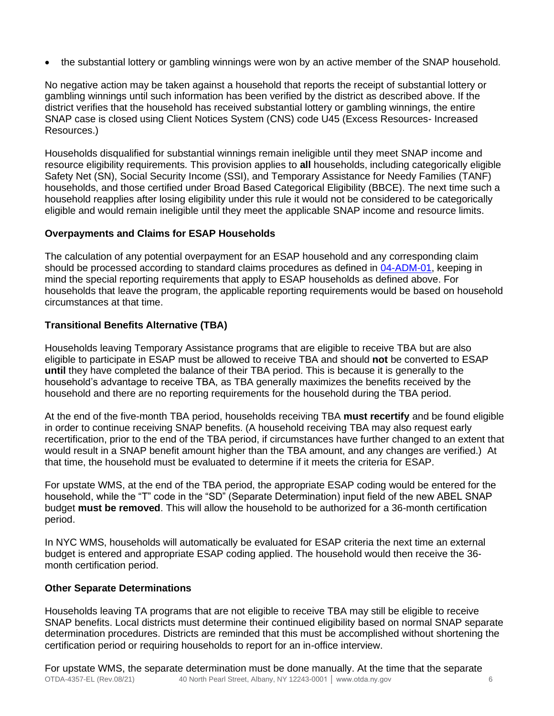• the substantial lottery or gambling winnings were won by an active member of the SNAP household.

No negative action may be taken against a household that reports the receipt of substantial lottery or gambling winnings until such information has been verified by the district as described above. If the district verifies that the household has received substantial lottery or gambling winnings, the entire SNAP case is closed using Client Notices System (CNS) code U45 (Excess Resources- Increased Resources.)

Households disqualified for substantial winnings remain ineligible until they meet SNAP income and resource eligibility requirements. This provision applies to **all** households, including categorically eligible Safety Net (SN), Social Security Income (SSI), and Temporary Assistance for Needy Families (TANF) households, and those certified under Broad Based Categorical Eligibility (BBCE). The next time such a household reapplies after losing eligibility under this rule it would not be considered to be categorically eligible and would remain ineligible until they meet the applicable SNAP income and resource limits.

# **Overpayments and Claims for ESAP Households**

The calculation of any potential overpayment for an ESAP household and any corresponding claim should be processed according to standard claims procedures as defined in [04-ADM-01,](https://otda.ny.gov/policy/directives/2004/ADM/04_ADM-01.pdf) keeping in mind the special reporting requirements that apply to ESAP households as defined above. For households that leave the program, the applicable reporting requirements would be based on household circumstances at that time.

## **Transitional Benefits Alternative (TBA)**

Households leaving Temporary Assistance programs that are eligible to receive TBA but are also eligible to participate in ESAP must be allowed to receive TBA and should **not** be converted to ESAP **until** they have completed the balance of their TBA period. This is because it is generally to the household's advantage to receive TBA, as TBA generally maximizes the benefits received by the household and there are no reporting requirements for the household during the TBA period.

At the end of the five-month TBA period, households receiving TBA **must recertify** and be found eligible in order to continue receiving SNAP benefits. (A household receiving TBA may also request early recertification, prior to the end of the TBA period, if circumstances have further changed to an extent that would result in a SNAP benefit amount higher than the TBA amount, and any changes are verified.) At that time, the household must be evaluated to determine if it meets the criteria for ESAP.

For upstate WMS, at the end of the TBA period, the appropriate ESAP coding would be entered for the household, while the "T" code in the "SD" (Separate Determination) input field of the new ABEL SNAP budget **must be removed**. This will allow the household to be authorized for a 36-month certification period.

In NYC WMS, households will automatically be evaluated for ESAP criteria the next time an external budget is entered and appropriate ESAP coding applied. The household would then receive the 36 month certification period.

#### **Other Separate Determinations**

Households leaving TA programs that are not eligible to receive TBA may still be eligible to receive SNAP benefits. Local districts must determine their continued eligibility based on normal SNAP separate determination procedures. Districts are reminded that this must be accomplished without shortening the certification period or requiring households to report for an in-office interview.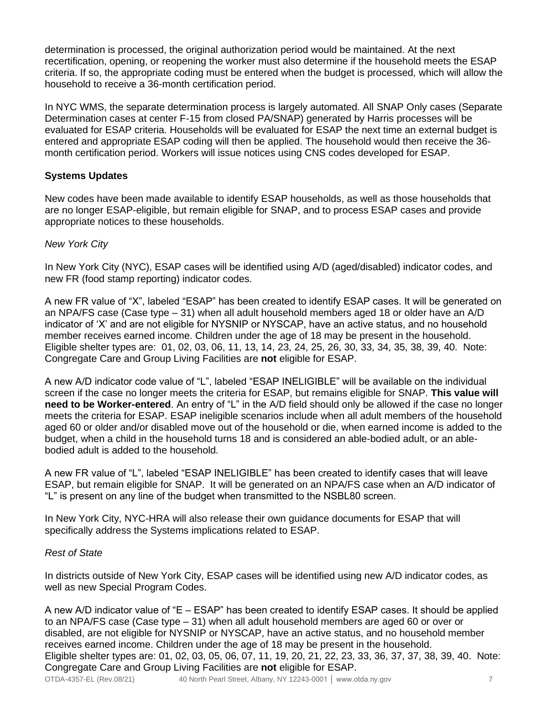determination is processed, the original authorization period would be maintained. At the next recertification, opening, or reopening the worker must also determine if the household meets the ESAP criteria. If so, the appropriate coding must be entered when the budget is processed, which will allow the household to receive a 36-month certification period.

In NYC WMS, the separate determination process is largely automated. All SNAP Only cases (Separate Determination cases at center F-15 from closed PA/SNAP) generated by Harris processes will be evaluated for ESAP criteria. Households will be evaluated for ESAP the next time an external budget is entered and appropriate ESAP coding will then be applied. The household would then receive the 36 month certification period. Workers will issue notices using CNS codes developed for ESAP.

#### **Systems Updates**

New codes have been made available to identify ESAP households, as well as those households that are no longer ESAP-eligible, but remain eligible for SNAP, and to process ESAP cases and provide appropriate notices to these households.

#### *New York City*

In New York City (NYC), ESAP cases will be identified using A/D (aged/disabled) indicator codes, and new FR (food stamp reporting) indicator codes.

A new FR value of "X", labeled "ESAP" has been created to identify ESAP cases. It will be generated on an NPA/FS case (Case type – 31) when all adult household members aged 18 or older have an A/D indicator of 'X' and are not eligible for NYSNIP or NYSCAP, have an active status, and no household member receives earned income. Children under the age of 18 may be present in the household. Eligible shelter types are: 01, 02, 03, 06, 11, 13, 14, 23, 24, 25, 26, 30, 33, 34, 35, 38, 39, 40. Note: Congregate Care and Group Living Facilities are **not** eligible for ESAP.

A new A/D indicator code value of "L", labeled "ESAP INELIGIBLE" will be available on the individual screen if the case no longer meets the criteria for ESAP, but remains eligible for SNAP. **This value will need to be Worker-entered**. An entry of "L" in the A/D field should only be allowed if the case no longer meets the criteria for ESAP. ESAP ineligible scenarios include when all adult members of the household aged 60 or older and/or disabled move out of the household or die, when earned income is added to the budget, when a child in the household turns 18 and is considered an able-bodied adult, or an ablebodied adult is added to the household.

A new FR value of "L", labeled "ESAP INELIGIBLE" has been created to identify cases that will leave ESAP, but remain eligible for SNAP. It will be generated on an NPA/FS case when an A/D indicator of "L" is present on any line of the budget when transmitted to the NSBL80 screen.

In New York City, NYC-HRA will also release their own guidance documents for ESAP that will specifically address the Systems implications related to ESAP.

#### *Rest of State*

In districts outside of New York City, ESAP cases will be identified using new A/D indicator codes, as well as new Special Program Codes.

A new A/D indicator value of "E – ESAP" has been created to identify ESAP cases. It should be applied to an NPA/FS case (Case type – 31) when all adult household members are aged 60 or over or disabled, are not eligible for NYSNIP or NYSCAP, have an active status, and no household member receives earned income. Children under the age of 18 may be present in the household. Eligible shelter types are: 01, 02, 03, 05, 06, 07, 11, 19, 20, 21, 22, 23, 33, 36, 37, 37, 38, 39, 40. Note: Congregate Care and Group Living Facilities are **not** eligible for ESAP.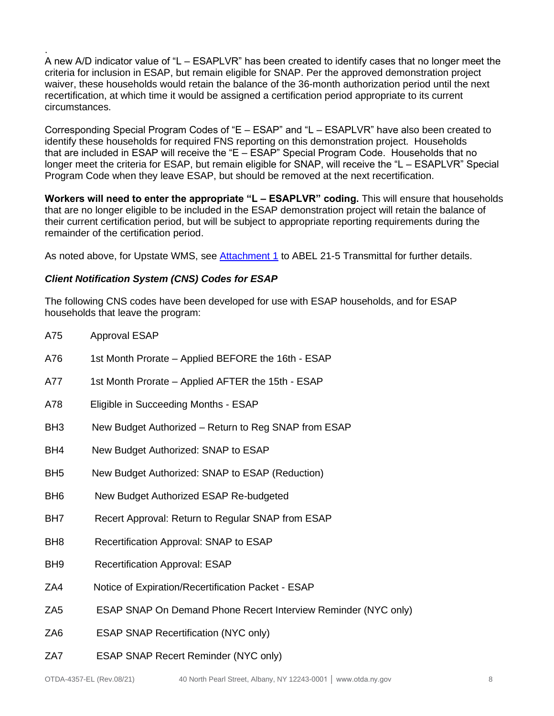A new A/D indicator value of "L – ESAPLVR" has been created to identify cases that no longer meet the criteria for inclusion in ESAP, but remain eligible for SNAP. Per the approved demonstration project waiver, these households would retain the balance of the 36-month authorization period until the next recertification, at which time it would be assigned a certification period appropriate to its current circumstances.

Corresponding Special Program Codes of "E – ESAP" and "L – ESAPLVR" have also been created to identify these households for required FNS reporting on this demonstration project. Households that are included in ESAP will receive the "E – ESAP" Special Program Code. Households that no longer meet the criteria for ESAP, but remain eligible for SNAP, will receive the "L – ESAPLVR" Special Program Code when they leave ESAP, but should be removed at the next recertification.

**Workers will need to enter the appropriate "L – ESAPLVR" coding.** This will ensure that households that are no longer eligible to be included in the ESAP demonstration project will retain the balance of their current certification period, but will be subject to appropriate reporting requirements during the remainder of the certification period.

As noted above, for Upstate WMS, see [Attachment 1](file:///C:/Users/AV1000/AppData/Local/Microsoft/Windows/INetCache/Content.Outlook/DEED64WH/Attachment%201) to ABEL 21-5 Transmittal for further details.

#### *Client Notification System (CNS) Codes for ESAP*

.

The following CNS codes have been developed for use with ESAP households, and for ESAP households that leave the program:

| A75             | <b>Approval ESAP</b>                                           |
|-----------------|----------------------------------------------------------------|
| A76             | 1st Month Prorate - Applied BEFORE the 16th - ESAP             |
| A77             | 1st Month Prorate - Applied AFTER the 15th - ESAP              |
| A78             | Eligible in Succeeding Months - ESAP                           |
| BH <sub>3</sub> | New Budget Authorized - Return to Reg SNAP from ESAP           |
| BH4             | New Budget Authorized: SNAP to ESAP                            |
| BH <sub>5</sub> | New Budget Authorized: SNAP to ESAP (Reduction)                |
| BH <sub>6</sub> | New Budget Authorized ESAP Re-budgeted                         |
| BH7             | Recert Approval: Return to Regular SNAP from ESAP              |
| BH <sub>8</sub> | Recertification Approval: SNAP to ESAP                         |
| BH <sub>9</sub> | <b>Recertification Approval: ESAP</b>                          |
| ZA4             | Notice of Expiration/Recertification Packet - ESAP             |
| ZA <sub>5</sub> | ESAP SNAP On Demand Phone Recert Interview Reminder (NYC only) |
| ZA <sub>6</sub> | <b>ESAP SNAP Recertification (NYC only)</b>                    |
| ZA7             | <b>ESAP SNAP Recert Reminder (NYC only)</b>                    |